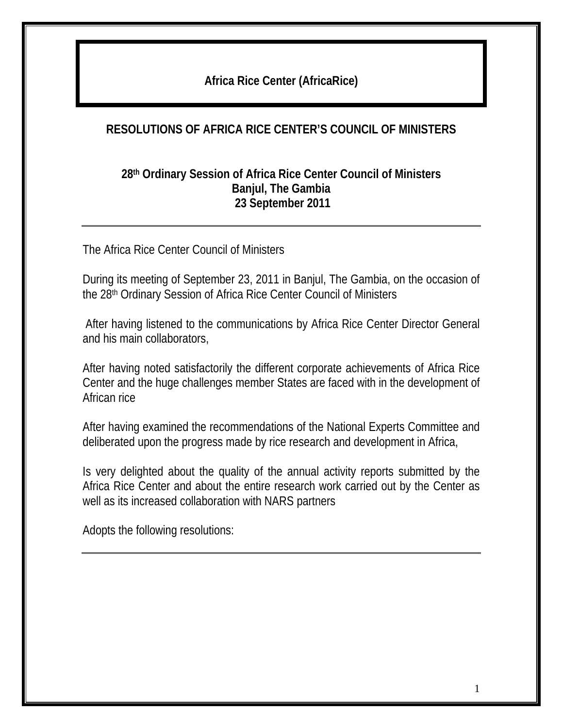## **Africa Rice Center (AfricaRice)**

### **RESOLUTIONS OF AFRICA RICE CENTER'S COUNCIL OF MINISTERS**

#### **28th Ordinary Session of Africa Rice Center Council of Ministers Banjul, The Gambia 23 September 2011**

The Africa Rice Center Council of Ministers

During its meeting of September 23, 2011 in Banjul, The Gambia, on the occasion of the 28th Ordinary Session of Africa Rice Center Council of Ministers

 After having listened to the communications by Africa Rice Center Director General and his main collaborators,

After having noted satisfactorily the different corporate achievements of Africa Rice Center and the huge challenges member States are faced with in the development of African rice

After having examined the recommendations of the National Experts Committee and deliberated upon the progress made by rice research and development in Africa,

Is very delighted about the quality of the annual activity reports submitted by the Africa Rice Center and about the entire research work carried out by the Center as well as its increased collaboration with NARS partners

Adopts the following resolutions: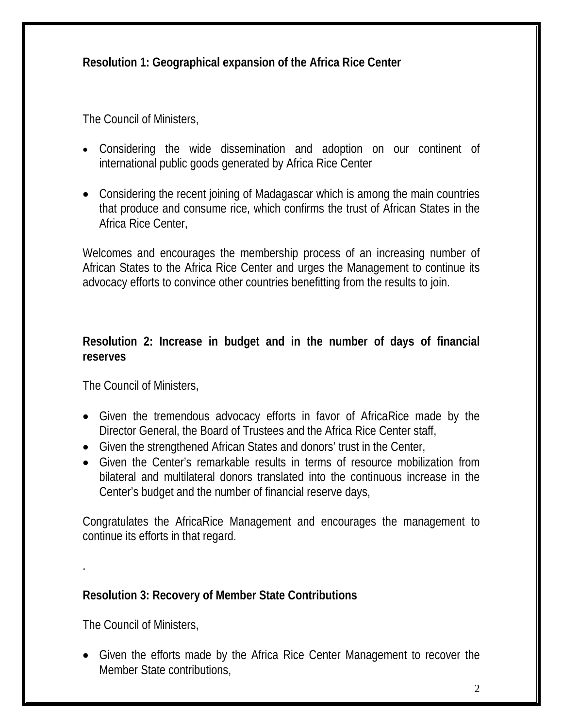**Resolution 1: Geographical expansion of the Africa Rice Center**

The Council of Ministers,

- Considering the wide dissemination and adoption on our continent of international public goods generated by Africa Rice Center
- Considering the recent joining of Madagascar which is among the main countries that produce and consume rice, which confirms the trust of African States in the Africa Rice Center,

Welcomes and encourages the membership process of an increasing number of African States to the Africa Rice Center and urges the Management to continue its advocacy efforts to convince other countries benefitting from the results to join.

## **Resolution 2: Increase in budget and in the number of days of financial reserves**

The Council of Ministers,

- Given the tremendous advocacy efforts in favor of AfricaRice made by the Director General, the Board of Trustees and the Africa Rice Center staff,
- Given the strengthened African States and donors' trust in the Center,
- Given the Center's remarkable results in terms of resource mobilization from bilateral and multilateral donors translated into the continuous increase in the Center's budget and the number of financial reserve days,

Congratulates the AfricaRice Management and encourages the management to continue its efforts in that regard.

## **Resolution 3: Recovery of Member State Contributions**

The Council of Ministers,

.

 Given the efforts made by the Africa Rice Center Management to recover the Member State contributions,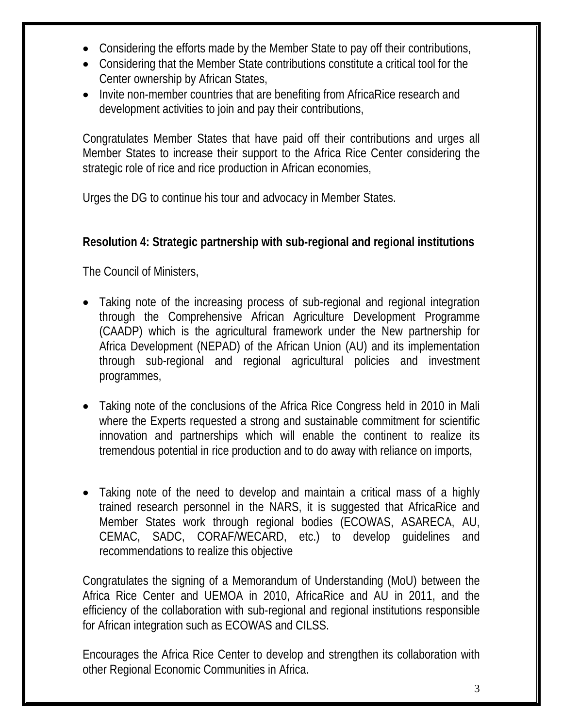- Considering the efforts made by the Member State to pay off their contributions,
- Considering that the Member State contributions constitute a critical tool for the Center ownership by African States,
- Invite non-member countries that are benefiting from AfricaRice research and development activities to join and pay their contributions,

Congratulates Member States that have paid off their contributions and urges all Member States to increase their support to the Africa Rice Center considering the strategic role of rice and rice production in African economies,

Urges the DG to continue his tour and advocacy in Member States.

## **Resolution 4: Strategic partnership with sub-regional and regional institutions**

The Council of Ministers,

- Taking note of the increasing process of sub-regional and regional integration through the Comprehensive African Agriculture Development Programme (CAADP) which is the agricultural framework under the New partnership for Africa Development (NEPAD) of the African Union (AU) and its implementation through sub-regional and regional agricultural policies and investment programmes,
- Taking note of the conclusions of the Africa Rice Congress held in 2010 in Mali where the Experts requested a strong and sustainable commitment for scientific innovation and partnerships which will enable the continent to realize its tremendous potential in rice production and to do away with reliance on imports,
- Taking note of the need to develop and maintain a critical mass of a highly trained research personnel in the NARS, it is suggested that AfricaRice and Member States work through regional bodies (ECOWAS, ASARECA, AU, CEMAC, SADC, CORAF/WECARD, etc.) to develop guidelines and recommendations to realize this objective

Congratulates the signing of a Memorandum of Understanding (MoU) between the Africa Rice Center and UEMOA in 2010, AfricaRice and AU in 2011, and the efficiency of the collaboration with sub-regional and regional institutions responsible for African integration such as ECOWAS and CILSS.

Encourages the Africa Rice Center to develop and strengthen its collaboration with other Regional Economic Communities in Africa.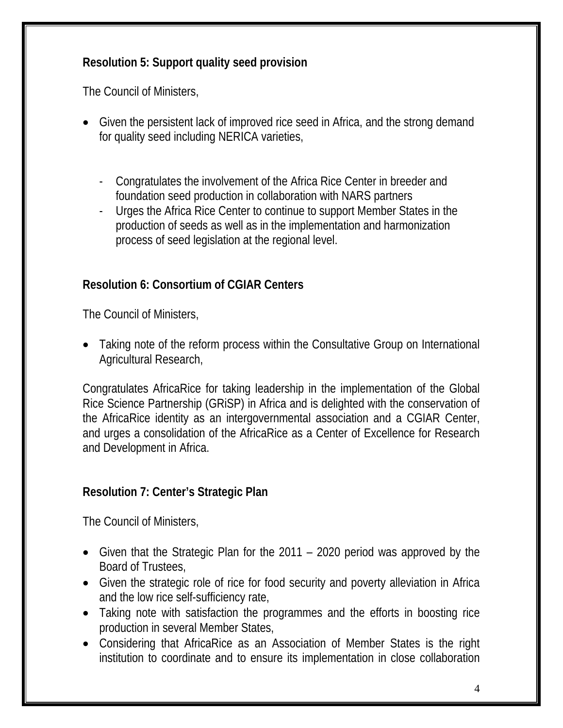## **Resolution 5: Support quality seed provision**

The Council of Ministers,

- Given the persistent lack of improved rice seed in Africa, and the strong demand for quality seed including NERICA varieties,
	- Congratulates the involvement of the Africa Rice Center in breeder and foundation seed production in collaboration with NARS partners
	- Urges the Africa Rice Center to continue to support Member States in the production of seeds as well as in the implementation and harmonization process of seed legislation at the regional level.

# **Resolution 6: Consortium of CGIAR Centers**

The Council of Ministers,

• Taking note of the reform process within the Consultative Group on International Agricultural Research,

Congratulates AfricaRice for taking leadership in the implementation of the Global Rice Science Partnership (GRiSP) in Africa and is delighted with the conservation of the AfricaRice identity as an intergovernmental association and a CGIAR Center, and urges a consolidation of the AfricaRice as a Center of Excellence for Research and Development in Africa.

## **Resolution 7: Center's Strategic Plan**

The Council of Ministers,

- Given that the Strategic Plan for the 2011 2020 period was approved by the Board of Trustees,
- Given the strategic role of rice for food security and poverty alleviation in Africa and the low rice self-sufficiency rate,
- Taking note with satisfaction the programmes and the efforts in boosting rice production in several Member States,
- Considering that AfricaRice as an Association of Member States is the right institution to coordinate and to ensure its implementation in close collaboration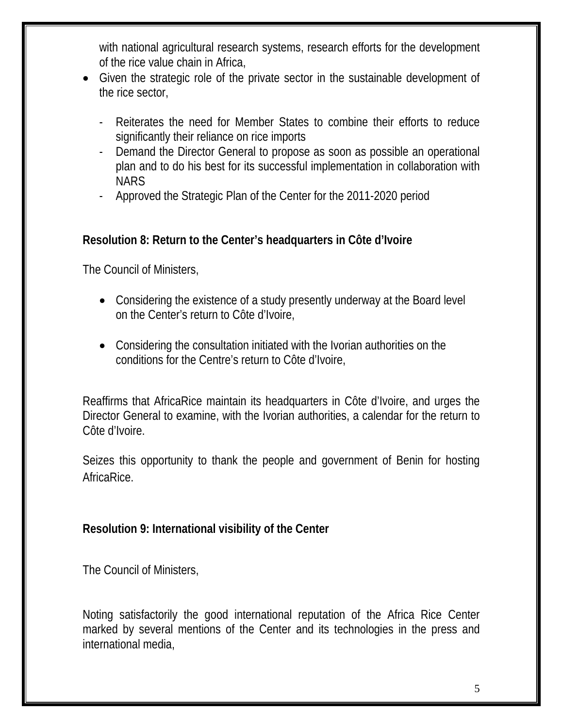with national agricultural research systems, research efforts for the development of the rice value chain in Africa,

- Given the strategic role of the private sector in the sustainable development of the rice sector,
	- Reiterates the need for Member States to combine their efforts to reduce significantly their reliance on rice imports
	- Demand the Director General to propose as soon as possible an operational plan and to do his best for its successful implementation in collaboration with **NARS**
	- Approved the Strategic Plan of the Center for the 2011-2020 period

## **Resolution 8: Return to the Center's headquarters in Côte d'Ivoire**

The Council of Ministers,

- Considering the existence of a study presently underway at the Board level on the Center's return to Côte d'Ivoire,
- Considering the consultation initiated with the Ivorian authorities on the conditions for the Centre's return to Côte d'Ivoire,

Reaffirms that AfricaRice maintain its headquarters in Côte d'Ivoire, and urges the Director General to examine, with the Ivorian authorities, a calendar for the return to Côte d'Ivoire.

Seizes this opportunity to thank the people and government of Benin for hosting AfricaRice.

## **Resolution 9: International visibility of the Center**

The Council of Ministers,

Noting satisfactorily the good international reputation of the Africa Rice Center marked by several mentions of the Center and its technologies in the press and international media,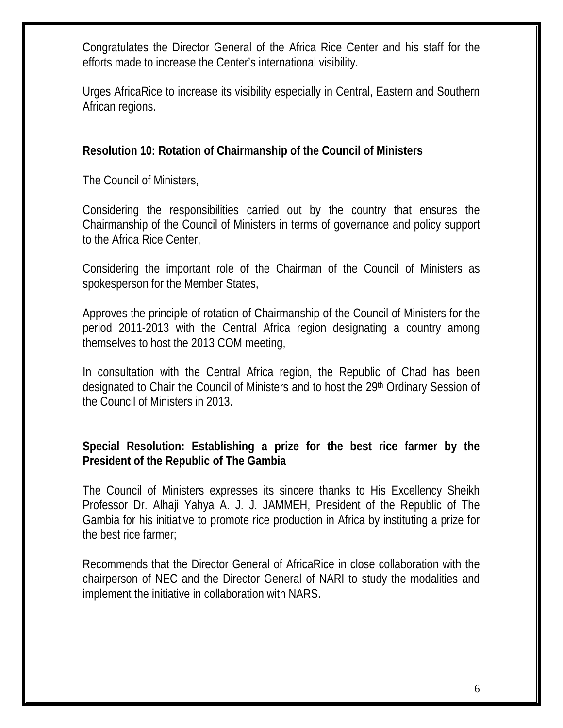Congratulates the Director General of the Africa Rice Center and his staff for the efforts made to increase the Center's international visibility.

Urges AfricaRice to increase its visibility especially in Central, Eastern and Southern African regions.

### **Resolution 10: Rotation of Chairmanship of the Council of Ministers**

The Council of Ministers,

Considering the responsibilities carried out by the country that ensures the Chairmanship of the Council of Ministers in terms of governance and policy support to the Africa Rice Center,

Considering the important role of the Chairman of the Council of Ministers as spokesperson for the Member States,

Approves the principle of rotation of Chairmanship of the Council of Ministers for the period 2011-2013 with the Central Africa region designating a country among themselves to host the 2013 COM meeting,

In consultation with the Central Africa region, the Republic of Chad has been designated to Chair the Council of Ministers and to host the 29th Ordinary Session of the Council of Ministers in 2013.

## **Special Resolution: Establishing a prize for the best rice farmer by the President of the Republic of The Gambia**

The Council of Ministers expresses its sincere thanks to His Excellency Sheikh Professor Dr. Alhaji Yahya A. J. J. JAMMEH, President of the Republic of The Gambia for his initiative to promote rice production in Africa by instituting a prize for the best rice farmer;

Recommends that the Director General of AfricaRice in close collaboration with the chairperson of NEC and the Director General of NARI to study the modalities and implement the initiative in collaboration with NARS.